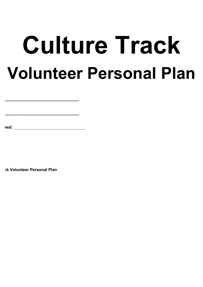# **Culture Track Volunteer Personal Plan**

**Date Reviewed:** \_\_\_\_\_\_\_\_\_\_\_\_\_\_\_\_\_\_\_\_\_\_\_\_\_\_\_\_\_\_\_\_\_\_\_

**ck Volunteer Personal Plan** 

**Name:\_\_\_\_\_\_\_\_\_\_\_\_\_\_\_\_\_\_\_\_\_\_\_\_\_\_\_\_\_\_\_\_\_\_\_\_\_**

**Date:\_\_\_\_\_\_\_\_\_\_\_\_\_\_\_\_\_\_\_\_\_\_\_\_\_\_\_\_\_\_\_\_\_\_\_\_\_\_**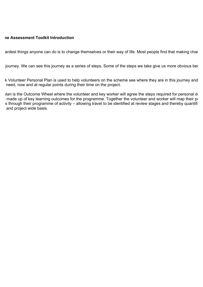### **Soft Outcome Assessment Toolkit Introduction**

ardest things anyone can do is to change themselves or their way of life. Most people find that making charges

journey. We can see this journey as a series of steps. Some of the steps we take give us more obvious benefit

k Volunteer Personal Plan is used to help volunteers on the scheme see where they are in this journey and need, now and at regular points during their time on the project.

Ian is the Outcome Wheel where the volunteer and key worker will agree the steps required for personal development.  $\frac{1}{2}$  made up of key learning outcomes for the programme. Together the volunteer and worker will map their position as s through their programme of activity – allowing travel to be identified at review stages and thereby quantifi and project wide basis.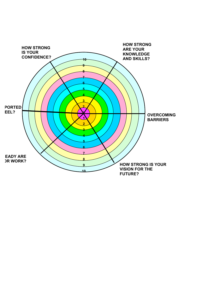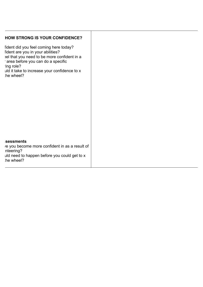| <b>HOW STRONG IS YOUR CONFIDENCE?</b>                                                                                                                                                                                                    |  |
|------------------------------------------------------------------------------------------------------------------------------------------------------------------------------------------------------------------------------------------|--|
| fident did you feel coming here today?<br>fident are you in your abilities?<br>el that you need to be more confident in a<br>area before you can do a specific<br>ing role?<br>uld it take to increase your confidence to x<br>he wheel? |  |
|                                                                                                                                                                                                                                          |  |
|                                                                                                                                                                                                                                          |  |
|                                                                                                                                                                                                                                          |  |
|                                                                                                                                                                                                                                          |  |
| sessments<br>re you become more confident in as a result of<br>nteering?<br>uld need to happen before you could get to x<br>the wheel?                                                                                                   |  |
|                                                                                                                                                                                                                                          |  |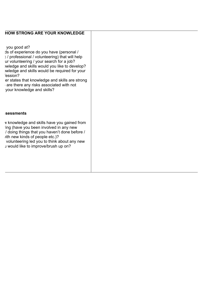| <b>HOW STRONG ARE YOUR KNOWLEDGE</b>                                                                                                                                                                                                                                                                                                                                                          |  |
|-----------------------------------------------------------------------------------------------------------------------------------------------------------------------------------------------------------------------------------------------------------------------------------------------------------------------------------------------------------------------------------------------|--|
| you good at?<br>Is of experience do you have (personal /<br>: / professional / volunteering) that will help<br>ur volunteering / your search for a job?<br>wledge and skills would you like to develop?<br>wledge and skills would be required for your<br>ession?<br>er states that knowledge and skills are strong<br>are there any risks associated with not<br>your knowledge and skills? |  |
| sessments                                                                                                                                                                                                                                                                                                                                                                                     |  |

v knowledge and skills have you gained from ing (have you been involved in any new  $\prime$  doing things that you haven't done before  $\prime$ ith new kinds of people etc.)? volunteering led you to think about any new a would like to improve/brush up on?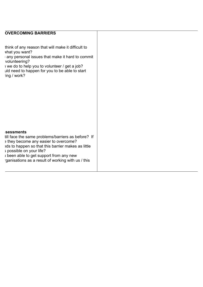## **INDICATOR 3: OVERCOMING BARRIERS**

think of any reason that will make it difficult to vhat you want?

 $\triangle$  any personal issues that make it hard to commit volunteering?

I we do to help you to volunteer / get a job? uld need to happen for you to be able to start ing / work?

#### **Sessments**

till face the same problems/barriers as before? If s they become any easier to overcome? eds to happen so that this barrier makes as little ; possible on your life? I been able to get support from any new ganisations as a result of working with us / this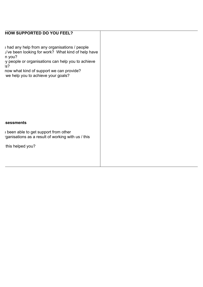# **HOW SUPPORTED DO YOU FEEL?**

I had any help from any organisations / people y've been looking for work? What kind of help have n you?

y people or organisations can help you to achieve  $s$ ?

now what kind of support we can provide? we help you to achieve your goals?

#### **sessments**

I been able to get support from other ganisations as a result of working with us / this

this helped you?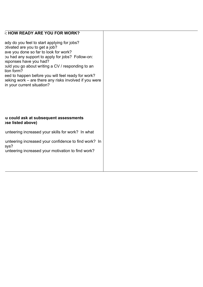| : HOW READY ARE YOU FOR WORK? |  |
|-------------------------------|--|

ady do you feel to start applying for jobs? butivated are you to get a job? ave you done so far to look for work? bu had any support to apply for jobs? Follow-on: : sponses have you had? build you go about writing a CV / responding to an tion form? eed to happen before you will feel ready for work?  $e^{i\pi}$  is not set of the set any risks involved if you were in your current situation?

#### **Questions you could ask at subsequent assessments (included above)**

unteering increased your skills for work? In what unteering increased your confidence to find work? In

avs? unteering increased your motivation to find work?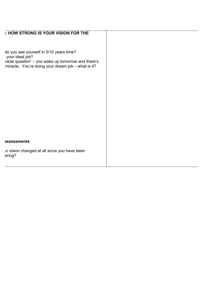| : HOW STRONG IS YOUR VISION FOR THE                                                                                                                                    |  |
|------------------------------------------------------------------------------------------------------------------------------------------------------------------------|--|
| do you see yourself in 5/10 years time?<br>your ideal job?<br>racle question' - you wake up tomorrow and there's<br>miracle. You're doing your dream job - what is it? |  |
|                                                                                                                                                                        |  |
|                                                                                                                                                                        |  |
|                                                                                                                                                                        |  |
| <b>issessments</b>                                                                                                                                                     |  |
| ur vision changed at all since you have been<br>ering?                                                                                                                 |  |
|                                                                                                                                                                        |  |